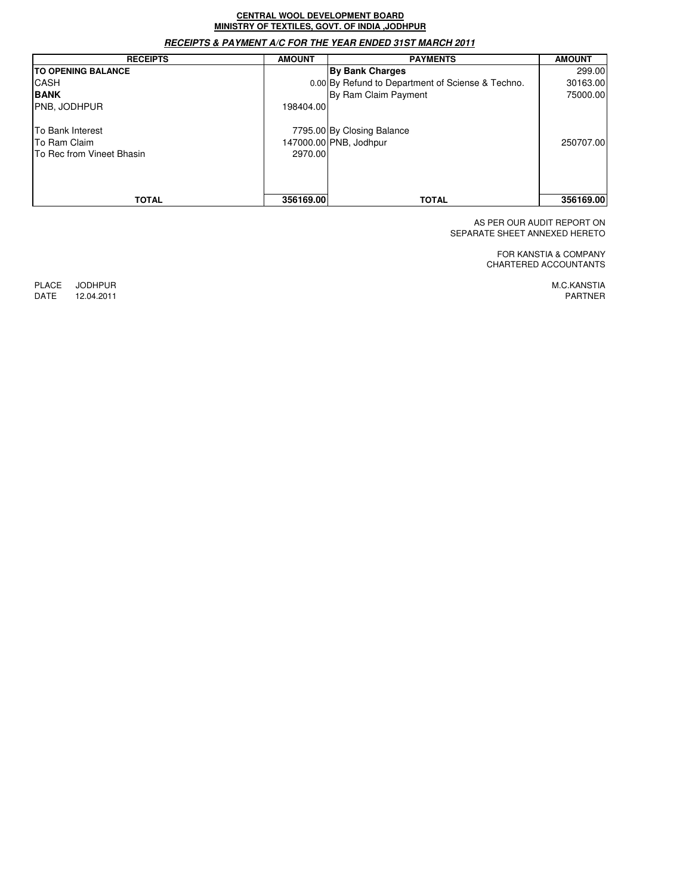### **RECEIPTS & PAYMENT A/C FOR THE YEAR ENDED 31ST MARCH 2011 CENTRAL WOOL DEVELOPMENT BOARD MINISTRY OF TEXTILES, GOVT. OF INDIA ,JODHPUR**

| <b>RECEIPTS</b>                  | <b>AMOUNT</b> | <b>PAYMENTS</b>                                   | <b>AMOUNT</b> |
|----------------------------------|---------------|---------------------------------------------------|---------------|
| <b>ITO OPENING BALANCE</b>       |               | <b>By Bank Charges</b>                            | 299.00        |
| <b>CASH</b>                      |               | 0.00 By Refund to Department of Sciense & Techno. | 30163.00      |
| <b>BANK</b>                      |               | By Ram Claim Payment                              | 75000.00      |
| <b>PNB, JODHPUR</b>              | 198404.00     |                                                   |               |
| <b>To Bank Interest</b>          |               | 7795.00 By Closing Balance                        |               |
| <b>To Ram Claim</b>              |               | 147000.00 PNB, Jodhpur                            | 250707.00     |
| <b>To Rec from Vineet Bhasin</b> | 2970.00       |                                                   |               |
|                                  |               |                                                   |               |
| <b>TOTAL</b>                     | 356169.00     | <b>TOTAL</b>                                      | 356169.00     |

AS PER OUR AUDIT REPORT ON SEPARATE SHEET ANNEXED HERETO

> FOR KANSTIA & COMPANY CHARTERED ACCOUNTANTS

PLACE JODHPUR DATE 12.04.2011 M.C.KANSTIA PARTNER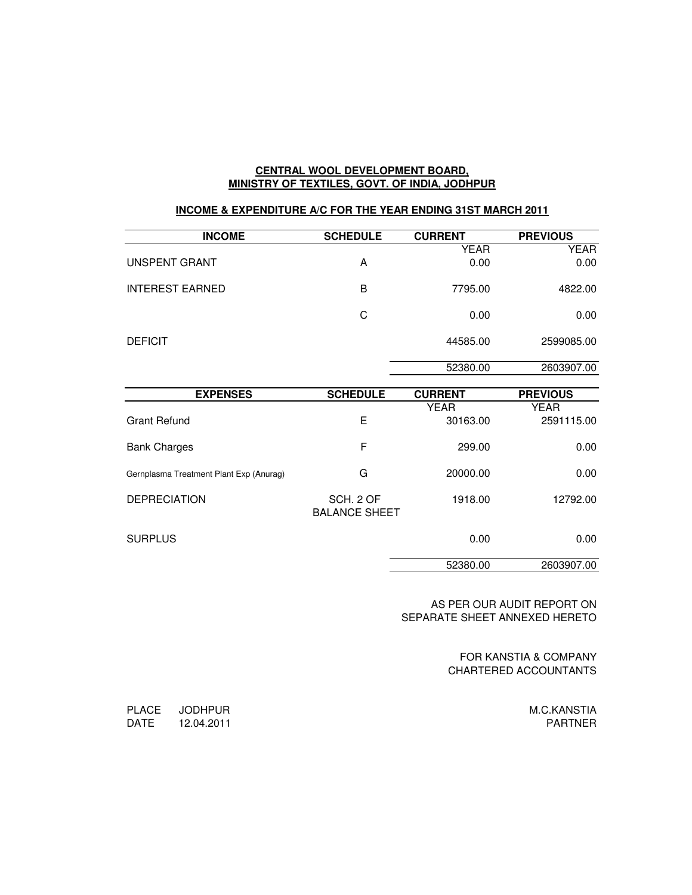### **CENTRAL WOOL DEVELOPMENT BOARD, MINISTRY OF TEXTILES, GOVT. OF INDIA, JODHPUR**

## **INCOME & EXPENDITURE A/C FOR THE YEAR ENDING 31ST MARCH 2011**

| <b>INCOME</b>          | <b>SCHEDULE</b> | <b>CURRENT</b> | <b>PREVIOUS</b> |
|------------------------|-----------------|----------------|-----------------|
|                        |                 | YEAR           | YEAR            |
| UNSPENT GRANT          | A               | 0.00           | 0.00            |
| <b>INTEREST EARNED</b> | B               | 7795.00        | 4822.00         |
|                        | C               | 0.00           | 0.00            |
| <b>DEFICIT</b>         |                 | 44585.00       | 2599085.00      |
|                        |                 | 52380.00       | 2603907.00      |

| <b>EXPENSES</b>                         | <b>SCHEDULE</b>                   | <b>CURRENT</b> | <b>PREVIOUS</b> |
|-----------------------------------------|-----------------------------------|----------------|-----------------|
|                                         |                                   | <b>YEAR</b>    | <b>YEAR</b>     |
| <b>Grant Refund</b>                     | Е                                 | 30163.00       | 2591115.00      |
| <b>Bank Charges</b>                     | F                                 | 299.00         | 0.00            |
| Gernplasma Treatment Plant Exp (Anurag) | G                                 | 20000.00       | 0.00            |
| <b>DEPRECIATION</b>                     | SCH, 2 OF<br><b>BALANCE SHEET</b> | 1918.00        | 12792.00        |
| <b>SURPLUS</b>                          |                                   | 0.00           | 0.00            |
|                                         |                                   | 52380.00       | 2603907.00      |

AS PER OUR AUDIT REPORT ON SEPARATE SHEET ANNEXED HERETO

> FOR KANSTIA & COMPANY CHARTERED ACCOUNTANTS

| PLACE JODHPUR   | M.C.KANSTIA    |
|-----------------|----------------|
| DATE 12.04.2011 | <b>PARTNER</b> |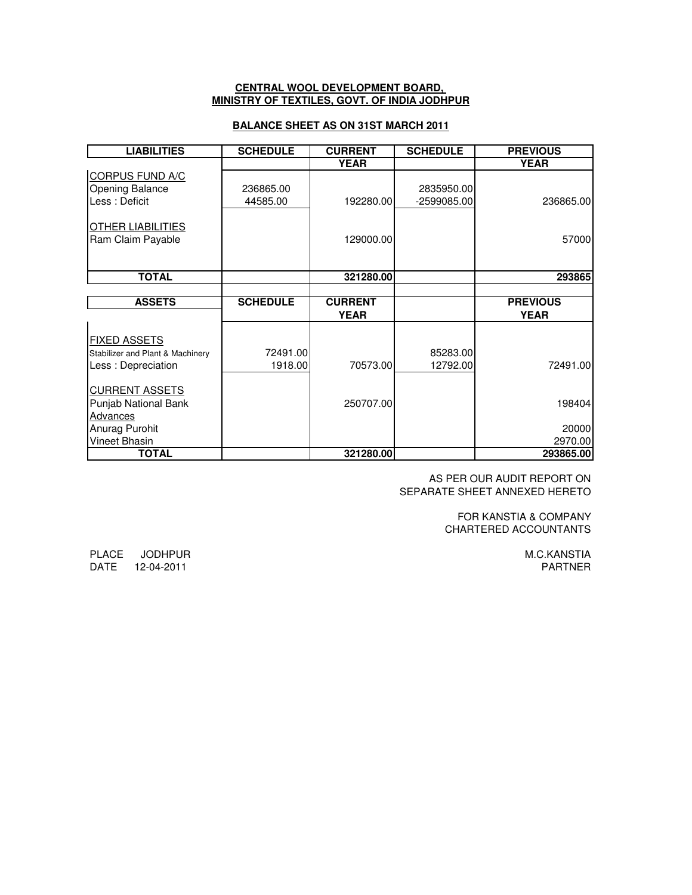### **CENTRAL WOOL DEVELOPMENT BOARD, MINISTRY OF TEXTILES, GOVT. OF INDIA JODHPUR**

### **BALANCE SHEET AS ON 31ST MARCH 2011**

| <b>LIABILITIES</b>               | <b>SCHEDULE</b> | <b>CURRENT</b> | <b>SCHEDULE</b> | <b>PREVIOUS</b> |
|----------------------------------|-----------------|----------------|-----------------|-----------------|
|                                  |                 | <b>YEAR</b>    |                 | <b>YEAR</b>     |
| CORPUS FUND A/C                  |                 |                |                 |                 |
| <b>Opening Balance</b>           | 236865.00       |                | 2835950.00      |                 |
| Less: Deficit                    | 44585.00        | 192280.00      | $-2599085.00$   | 236865.00       |
|                                  |                 |                |                 |                 |
| <b>OTHER LIABILITIES</b>         |                 |                |                 |                 |
| Ram Claim Payable                |                 | 129000.00      |                 | 57000           |
|                                  |                 |                |                 |                 |
| <b>TOTAL</b>                     |                 | 321280.00      |                 | 293865          |
|                                  |                 |                |                 |                 |
| <b>ASSETS</b>                    | <b>SCHEDULE</b> | <b>CURRENT</b> |                 | <b>PREVIOUS</b> |
|                                  |                 | <b>YEAR</b>    |                 | <b>YEAR</b>     |
|                                  |                 |                |                 |                 |
| <b>FIXED ASSETS</b>              |                 |                |                 |                 |
| Stabilizer and Plant & Machinery | 72491.00        |                | 85283.00        |                 |
| Less: Depreciation               | 1918.00         | 70573.00       | 12792.00        | 72491.00        |
|                                  |                 |                |                 |                 |
| <b>CURRENT ASSETS</b>            |                 |                |                 |                 |
| Punjab National Bank             |                 | 250707.00      |                 | 198404          |
| <b>Advances</b>                  |                 |                |                 |                 |
| Anurag Purohit                   |                 |                |                 | 20000           |
| Vineet Bhasin                    |                 |                |                 | 2970.00         |
| <b>TOTAL</b>                     |                 | 321280.00      |                 | 293865.00       |

AS PER OUR AUDIT REPORT ON SEPARATE SHEET ANNEXED HERETO

> FOR KANSTIA & COMPANY CHARTERED ACCOUNTANTS

> > PARTNER M.C.KANSTIA

PLACE JODHPUR DATE 12-04-2011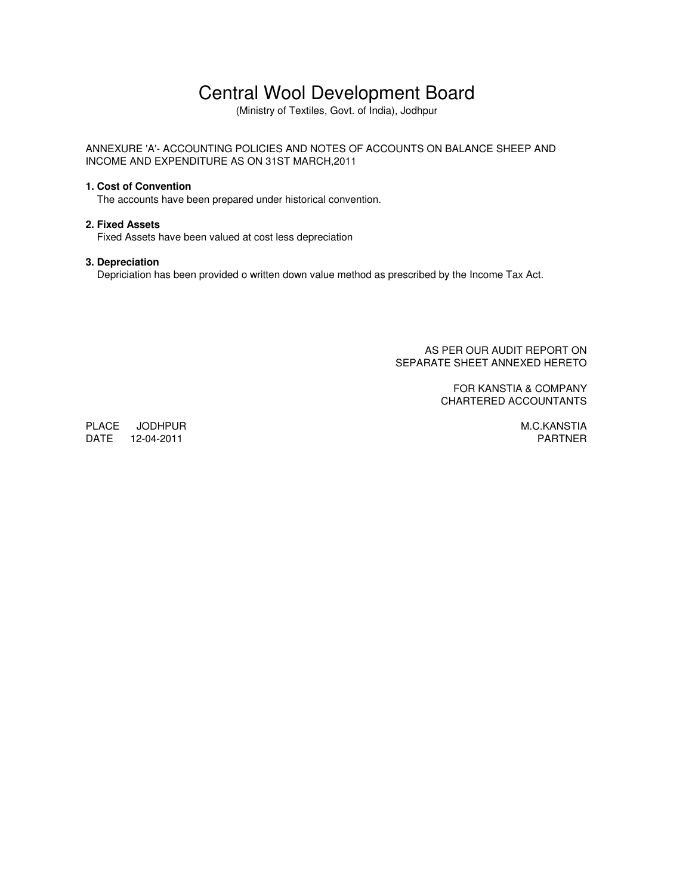# Central Wool Development Board

(Ministry of Textiles, Govt. of India), Jodhpur

ANNEXURE 'A'- ACCOUNTING POLICIES AND NOTES OF ACCOUNTS ON BALANCE SHEEP AND INCOME AND EXPENDITURE AS ON 31ST MARCH,2011

## **1. Cost of Convention**

The accounts have been prepared under historical convention.

### **2. Fixed Assets**

Fixed Assets have been valued at cost less depreciation

### **3. Depreciation**

Depriciation has been provided o written down value method as prescribed by the Income Tax Act.

AS PER OUR AUDIT REPORT ON SEPARATE SHEET ANNEXED HERETO

> FOR KANSTIA & COMPANY CHARTERED ACCOUNTANTS

PLACE JODHPUR DATE 12-04-2011

PARTNER M.C.KANSTIA